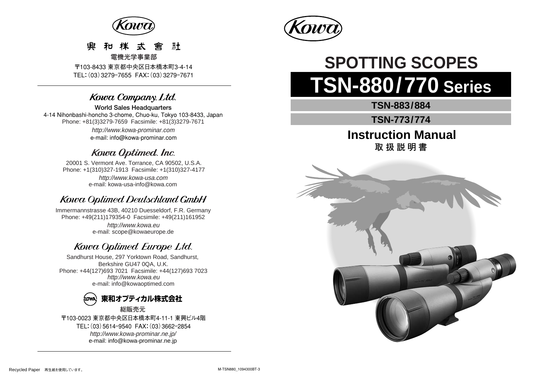

#### 和 揲 弌 示十 靊 鴌

**電機光学事業部** 

〒103-8433 東京都中央区日本橋本町3-4-14 TEL:(03)3279ー7655 FAX:(03)3279ー7671

# Kowa Company. Ltd.

**World Sales Headquarters**  4-14 Nihonbashi-honcho 3-chome, Chuo-ku, Tokyo 103-8433, Japan Phone: +81(3)3279-7659 Facsimile: +81(3)3279-7671 http://www.kowa-prominar.com e-mail: info@kowa-prominar.com

# Kowa Optimed. Inc.

20001 S. Vermont Ave. Torrance, CA 90502, U.S.A. Phone: +1(310)327-1913 Facsimile: +1(310)327-4177 e-mail: kowa-usa-info@kowa.com http://www.kowa-usa.com

# Kowa Optimed Deutschland GmbH

http://www.kowa.eu e-mail: scope@kowaeurope.de Immermannstrasse 43B, 40210 Duesseldorf, F.R. Germany Phone: +49(211)179354-0 Facsimile: +49(211)161952

# Kowa Optimed Europe Ltd.

Sandhurst House, 297 Yorktown Road, Sandhurst, Berkshire GU47 0QA, U.K. Phone: +44(127)693 7021 Facsimile: +44(127)693 7023 http://www.kowa.eu e-mail: info@kowaoptimed.com



〒103-0023 東京都中央区日本橋本町4-11-1 東興ビル4階 TEL:(03)5614ー9540 FAX:(03)3662ー2854 http://www.kowa-prominar.ne.jp/ e-mail: info@kowa-prominar.ne.jp



# **TSN-880/770 Series SPOTTING SCOPES**

**TSN-883/884**

**TSN-773/774**

**Instruction Manual 取扱説明書** 

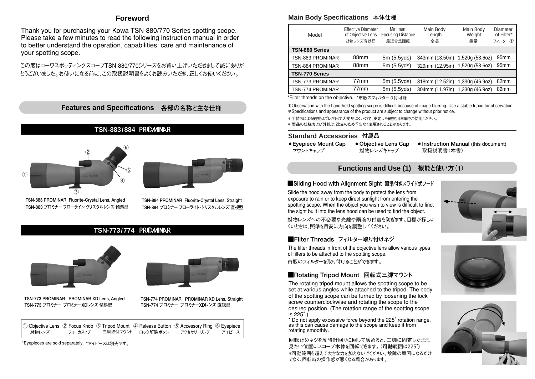# **Foreword**

Thank you for purchasing your Kowa TSN-880/770 Series spotting scope. Please take a few minutes to read the following instruction manual in order to better understand the operation, capabilities, care and maintenance of your spotting scope.

この度はコーワスポッティングスコープTSN-880/770シリーズをお買い上げいただきまして誠にありが とうございました。お使いになる前に、この取扱説明書をよくお読みいただき、正しくお使いください。

**Features and Specifications 各部の名称と主な仕様** 

## **TSN-883/884**





**TSN-883 PROMINAR Fluorite-Crystal Lens, Angled TSN-884 PROMINAR Fluorite-Crystal Lens, Straight**

**TSN-883 プロミナー フローライト・クリスタルレンズ 傾斜型 TSN-884 プロミナー フローライト・クリスタルレンズ 直視型** 

# **TSN-773/774**





**TSN-773 プロミナー プロミナーXDレンズ 傾斜型 TSN-774 プロミナー プロミナーXDレンズ 直視型 TSN-773 PROMINAR PROMINAR XD Lens, Angled TSN-774 PROMINAR PROMINAR XD Lens, Straight**



\*Eyepieces are sold separately. \*アイピースは別売です。

# **Main Body Specifications 本体仕様**

| Model                 | <b>Effective Diameter</b><br>of Objective Lens<br>対物レンズ有効径 | Minimum<br><b>Focusing Distance</b><br>最短合焦距離 | Main Body<br>Length<br>全長       | Main Body<br>Weight<br>重量 | Diameter<br>of Filter*<br>フィルター径* |
|-----------------------|------------------------------------------------------------|-----------------------------------------------|---------------------------------|---------------------------|-----------------------------------|
| TSN-880 Series        |                                                            |                                               |                                 |                           |                                   |
| TSN-883 PROMINAR      | 88 <sub>mm</sub>                                           | 5m(5.5yds)                                    | 343mm (13.50in) 1,520g (53.6oz) |                           | 95 <sub>mm</sub>                  |
| TSN-884 PROMINAR      | 88 <sub>mm</sub>                                           | 5m (5.5yds)                                   | 329mm (12.95in)                 | 1,520g (53.6oz)           | 95 <sub>mm</sub>                  |
| <b>TSN-770 Series</b> |                                                            |                                               |                                 |                           |                                   |
| TSN-773 PROMINAR      | 77 <sub>mm</sub>                                           | 5m(5.5yds)                                    | 318mm (12.52in) 1,330g (46.9oz) |                           | 82mm                              |
| TSN-774 PROMINAR      | 77 <sub>mm</sub>                                           | 5m (5.5yds)                                   | 304mm (11.97in)                 | 1,330g (46.9oz)           | 82mm                              |

\*Filter threads on the objective. \*市販のフィルター取付可能

\*Observation with the hand-held spotting scope is difficult because of image blurring. Use a stable tripod for observation. \*Specifications and appearance of the product are subject to change without prior notice.

\* 手持ちによる観察はブレが出て大変見にくいので、安定した観察用三脚をご使用ください。

\* 製品の仕様および外観は、改良のため予告なく変更されることがあります。

## **Standard Accessories 付属品**

- マウントキャップ
- **Eyepiece Mount Cap** ⑥ ● **Objective Lens Cap** 対物レンズキャップ
- **Instruction Manual (this document)** 取扱説明書(本書)

# **Functions and Use (1) 機能と使い方(1)**

### **■Sliding Hood with Alignment Sight 照準付きスライド式フード**

Slide the hood away from the body to protect the lens from exposure to rain or to keep direct sunlight from entering the spotting scope. When the object you wish to view is difficult to find, the sight built into the lens hood can be used to find the object.

対物レンズへの不必要な光線や雨滴の付着を防ぎます。目標が探しに くいときは、照準を目安に方向を調整してください。

# **■Filter Threads フィルター取り付けネジ**

The filter threads in front of the objective lens allow various types of filters to be attached to the spotting scope. 市販のフィルターを取り付けることができます。

# **■Rotating Tripod Mount 回転式三脚マウント**

The rotating tripod mount allows the spotting scope to be set at various angles while attached to the tripod. The body of the spotting scope can be turned by loosening the lock screw counterclockwise and rotating the scope to the desired position. (The rotation range of the spotting scope is  $225^{\circ}$ .)

\* Do not apply excessive force beyond the 225° rotation range, as this can cause damage to the scope and keep it from rotating smoothly.

回転止めネジを反時計回りに回して緩めると、三脚に固定したまま、 見たい位置にスコープ本体を回転できます。(可動範囲は225°) \*可動範囲を超えて大きな力を加えないでください。故障の原因になるだけ でなく、回転時の操作感が悪くなる場合があります。





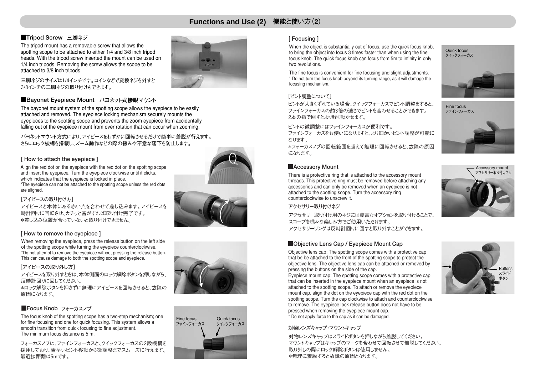# **Functions and Use (2) 機能と使い方(2)**

## **■Tripod Screw 三脚ネジ**

The tripod mount has a removable screw that allows the spotting scope to be attached to either 1/4 and 3/8 inch tripod heads. With the tripod screw inserted the mount can be used on 1/4 inch tripods. Removing the screw allows the scope to be attached to 3/8 inch tripods.



三脚ネジのサイズは1/4インチです。コインなどで変換ネジを外すと 3/8インチの三脚ネジの取り付けもできます。

#### ■Bayonet Eyepiece Mount バヨネット式接眼マウント

The bayonet mount system of the spotting scope allows the eyepiece to be easily attached and removed. The eyepiece locking mechanism securely mounts the eyepieces to the spotting scope and prevents the zoom eyepiece from accidentally falling out of the eyepiece mount from over rotation that can occur when zooming.

バヨネットマウント方式により、アイピースをわずかに回転させるだけで簡単に着脱が行えます。 さらにロック機構を搭載し、ズーム動作などの際の緩みや不意な落下を防止します。

#### **[ How to attach the eyepiece ]**

Align the red dot on the eyepiece with the red dot on the spotting scope and insert the eyepiece. Turn the eyepiece clockwise until it clicks, which indicates that the eyepiece is locked in place. \*The eyepiece can not be attached to the spotting scope unless the red dots are aligned.





アイピースと本体にある赤い点を合わせて差し込みます。アイピースを 時計回りに回転させ、カチッと音がすれば取り付け完了です。 \*差し込み位置が合っていないと取り付けできません。

#### **[ How to remove the eyepiece ]**

When removing the eyepiece, press the release button on the left side of the spotting scope while turning the eyepiece counterclockwise. \*Do not attempt to remove the eyepiece without pressing the release button. This can cause damage to both the spotting scope and eyepiece.

#### **[アイピースの取り外し方]**

アイピースを取り外すときは、本体側面のロック解除ボタンを押しながら、 反時計回りに回してください。 \*ロック解除ボタンを押さずに無理にアイピースを回転させると、故障の 原因になります。

## **■Focus Knob フォーカスノブ**

The focus knob of the spotting scope has a two-step mechanism; one for fine focusing and one for quick focusing. This system allows a smooth transition from quick focusing to fine adjustment. The minimum focus distance is 5 m.

フォーカスノブは、ファインフォーカスと、クイックフォーカスの2段機構を 採用しており、素早いピント移動から微調整までスムーズに行えます。 最近接距離は5mです。



# Quick focus クイックフォーカス ファインフォーカス Fine focus

#### **[ Focusing ]**

When the object is substantially out of focus, use the quick focus knob. to bring the object into focus 3 times faster than when using the fine focus knob. The quick focus knob can focus from 5m to infinity in only two revolutions.

The fine focus is convenient for fine focusing and slight adjustments. \* Do not turn the focus knob beyond its turning range, as it will damage the focusing mechanism.

#### **[ピント調整について]**

ピントが大きくずれている場合、クイックフォーカスでピント調整をすると、 ファインフォーカスの約3倍の速さでピントを合わせることができます。 2本の指で回すとより軽く動かせます。

ピントの微調整にはファインフォーカスが便利です。

ファインフォーカスをお使いになりますと、より細かいピント調整が可能に なります。

\*フォーカスノブの回転範囲を超えて無理に回転させると、故障の原因 になります。

#### **■Accessory Mount**

There is a protective ring that is attached to the accessory mount threads. This protective ring must be removed before attaching any accessories and can only be removed when an eyepiece is not attached to the spotting scope. Turn the accessory ring counterclockwise to unscrew it.



アクセサリー取り付け用のネジには豊富なオプションを取り付けることで、 スコープを様々な楽しみ方でご使用いただけます。 アクセサリーリングは反時計回りに回すと取り外すことができます。

#### ■Objective Lens Cap / Eyepiece Mount Cap

Objective lens cap: The spotting scope comes with a protective cap that be be attached to the front of the spotting scope to protect the objective lens. The objective lens cap can be attached or removed by pressing the buttons on the side of the cap.

Eyepiece mount cap: The spotting scope comes with a protective cap that can be inserted in the eyepiece mount when an eyepiece is not attached to the spotting scope. To attach or remove the eyepiece mount cap, align the dot on the eyepiece cap with the red dot on the spotting scope. Turn the cap clockwise to attach and counterclockwise to remove. The eyepiece lock release button does not have to be pressed when removing the eyepiece mount cap. \* Do not apply force to the cap as it can be damaged.

#### **対物レンズキャップ・マウントキャップ**

対物レンズキャップはスライドボタンを押しながら着脱してください。 マウントキャップはキャップのマークを合わせて回転させて着脱してください。 取り外しの際にロック解除ボタンは使用しません。 \*無理に着脱すると故障の原因となります。



Quick focus クイックフォーカス





スライド ボタン **Buttons**